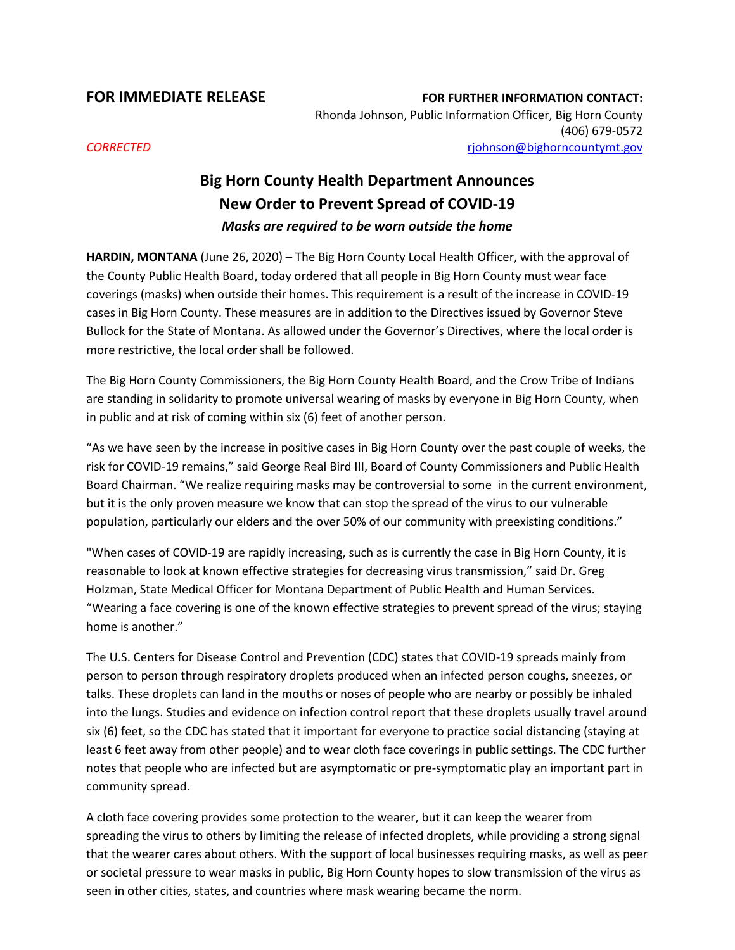**FOR IMMEDIATE RELEASE FOR FURTHER INFORMATION CONTACT:** Rhonda Johnson, Public Information Officer, Big Horn County (406) 679-0572 *CORRECTED* [rjohnson@bighorncountymt.gov](mailto:rjohnson@bighorncountymt.gov)

## **Big Horn County Health Department Announces New Order to Prevent Spread of COVID-19** *Masks are required to be worn outside the home*

**HARDIN, MONTANA** (June 26, 2020) – The Big Horn County Local Health Officer, with the approval of the County Public Health Board, today ordered that all people in Big Horn County must wear face coverings (masks) when outside their homes. This requirement is a result of the increase in COVID-19 cases in Big Horn County. These measures are in addition to the Directives issued by Governor Steve Bullock for the State of Montana. As allowed under the Governor's Directives, where the local order is more restrictive, the local order shall be followed.

The Big Horn County Commissioners, the Big Horn County Health Board, and the Crow Tribe of Indians are standing in solidarity to promote universal wearing of masks by everyone in Big Horn County, when in public and at risk of coming within six (6) feet of another person.

"As we have seen by the increase in positive cases in Big Horn County over the past couple of weeks, the risk for COVID-19 remains," said George Real Bird III, Board of County Commissioners and Public Health Board Chairman. "We realize requiring masks may be controversial to some in the current environment, but it is the only proven measure we know that can stop the spread of the virus to our vulnerable population, particularly our elders and the over 50% of our community with preexisting conditions."

"When cases of COVID-19 are rapidly increasing, such as is currently the case in Big Horn County, it is reasonable to look at known effective strategies for decreasing virus transmission," said Dr. Greg Holzman, State Medical Officer for Montana Department of Public Health and Human Services. "Wearing a face covering is one of the known effective strategies to prevent spread of the virus; staying home is another."

The U.S. Centers for Disease Control and Prevention (CDC) states that COVID-19 spreads mainly from person to person through respiratory droplets produced when an infected person coughs, sneezes, or talks. These droplets can land in the mouths or noses of people who are nearby or possibly be inhaled into the lungs. Studies and evidence on infection control report that these droplets usually travel around six (6) feet, so the CDC has stated that it important for everyone to practice social distancing (staying at least 6 feet away from other people) and to wear cloth face coverings in public settings. The CDC further notes that people who are infected but are asymptomatic or pre-symptomatic play an important part in community spread.

A cloth face covering provides some protection to the wearer, but it can keep the wearer from spreading the virus to others by limiting the release of infected droplets, while providing a strong signal that the wearer cares about others. With the support of local businesses requiring masks, as well as peer or societal pressure to wear masks in public, Big Horn County hopes to slow transmission of the virus as seen in other cities, states, and countries where mask wearing became the norm.